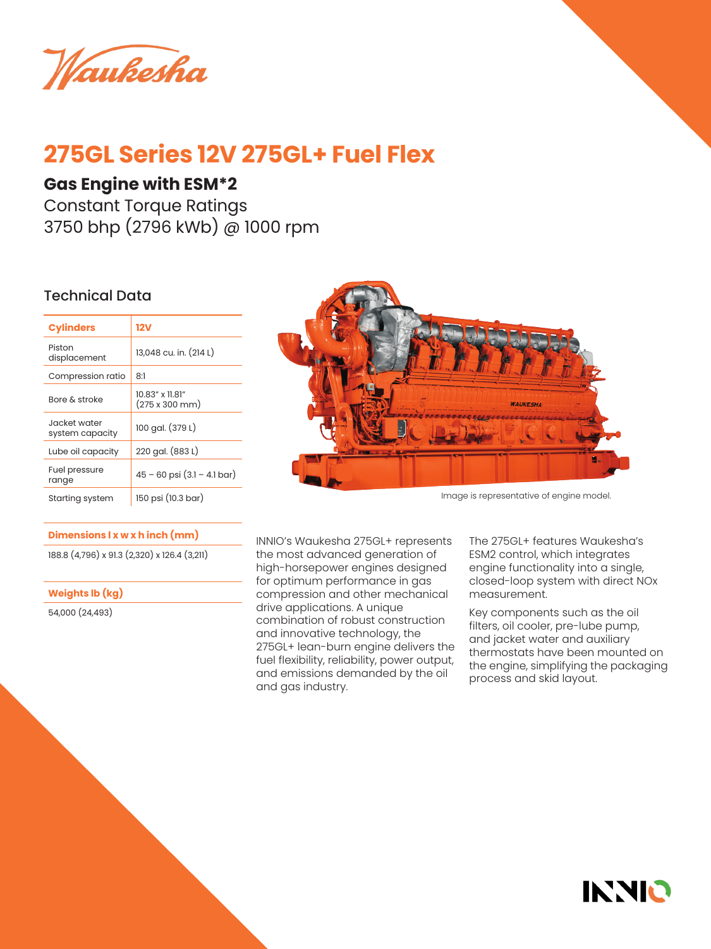Waukesha

# **275GL Series 12V 275GL+ Fuel Flex**

### **Gas Engine with ESM\*2**

Constant Torque Ratings 3750 bhp (2796 kWb) @ 1000 rpm

### Technical Data

| <b>Cylinders</b>                | 12V                               |
|---------------------------------|-----------------------------------|
| Piston<br>displacement          | 13,048 cu. in. (214 L)            |
| Compression ratio               | 8:1                               |
| Bore & stroke                   | 10.83" x 11.81"<br>(275 x 300 mm) |
| Jacket water<br>system capacity | 100 gal. (379 L)                  |
| Lube oil capacity               | 220 gal. (883 L)                  |
| Fuel pressure<br>range          | $45 - 60$ psi $(3.1 - 4.1$ bar)   |
| Starting system                 | 150 psi (10.3 bar)                |

### **Dimensions l x w x h inch (mm)**

188.8 (4,796) x 91.3 (2,320) x 126.4 (3,211)

**Weights lb (kg)**

54,000 (24,493)



Image is representative of engine model.

INNIO's Waukesha 275GL+ represents the most advanced generation of high-horsepower engines designed for optimum performance in gas compression and other mechanical drive applications. A unique combination of robust construction and innovative technology, the 275GL+ lean-burn engine delivers the fuel flexibility, reliability, power output, and emissions demanded by the oil and gas industry.

The 275GL+ features Waukesha's ESM2 control, which integrates engine functionality into a single, closed-loop system with direct NOx measurement.

Key components such as the oil filters, oil cooler, pre-lube pump, and jacket water and auxiliary thermostats have been mounted on the engine, simplifying the packaging process and skid layout.